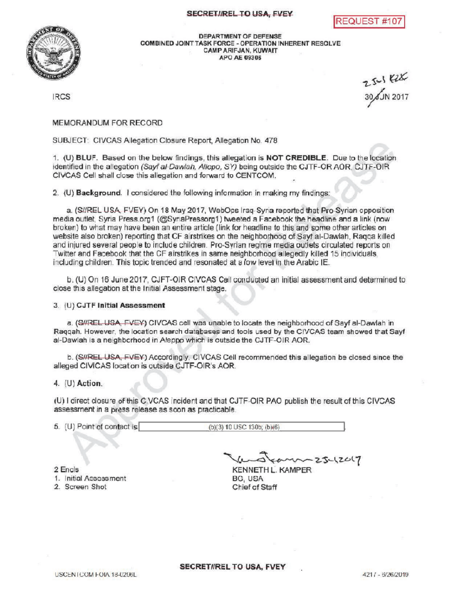## SECRETIREL TO USA, FVEY





DEPARTMENT OF DEFENSE COMBINED JOINT TASK FORCE - OPERATION INHERENT RESOLVE CAMPARIFJAN, KUWAIT APOAE 09306

 $\frac{30}{30}$ 

## MEMORANDUM FOR RECORD

SUBJECT: CIVCAS Allegation Closure Report, Allegation No. 478

1. (U) BLUF. Based on the below findings this allegation is NOT CREDIBLE. Due to the location identified in the allegation (Sayf al-Dawlah, Allepo, SY) being outside the CJTF-OR AOR, CJTF-OIR CIVCAS Cell shall close this allegation and forward to CENTCOM

2. (U) Background. I considered the following information in making my findings:

a. (S//REL USA, FVEY) On 18 May 2017, WebOps Iraq-Syria reported that Pro-Syrian opposition media outlet. Syria Press.org1 (@SyriaPressorg1) tweeted a Facebook the headline and a link (now broken) to what may have been an entire article (link for headline to this and some other articles on website also broken) reporting that CF airstrikes on the neighborhood of Sayf al-Dawlah , Raqqa killed and injured several people to include children . Pro -Syrian regime media outlets circulated reports on Twitter and Facebook that the CF airstrikes in same neighborhood allegedly killed 15 individuals including children. This topic trended and resonated at a low level in the Arabic IE.

b. (U) On 16 June 2017, CJFT-OIR CIVCAS Cell conducted an initial assessment and determined to close this allegation at the Initial Assessment stage.

## 3. (U) CJTF Initial Assessment

a. (S//REL USA, FVEY) CIVCAS cell was unable to locate the neighborhood of Sayf al-Dawlah in Raqqah. However, the location search databases and tools used by the CIVCAS team showed that Sayf al-Dawlah is a neighborhood in Aleppo which is outside the CJTF-OIR AOR.

b. (S#REL USA, FVEY) Accordingly, CIVCAS Cell recommended this allegation be closed since the alleged CIVICAS location is outside CJTF-OIR's AOR.

## 4. (U) Action.

( U direct closure of this CIVCAS incident and that CJTF -OIR PAO publish the result of this CIVCAS assessment in a press release as soon as practicable.

5. (U) Point of contact is (b)(3) 10 USC 130b; (b)(6)

2 Encls

1. Initial Assessment

2. Screen Shot

 $-25 - 12017$ 

KENNETHL.KAMPER BG, USA Chief of Staff